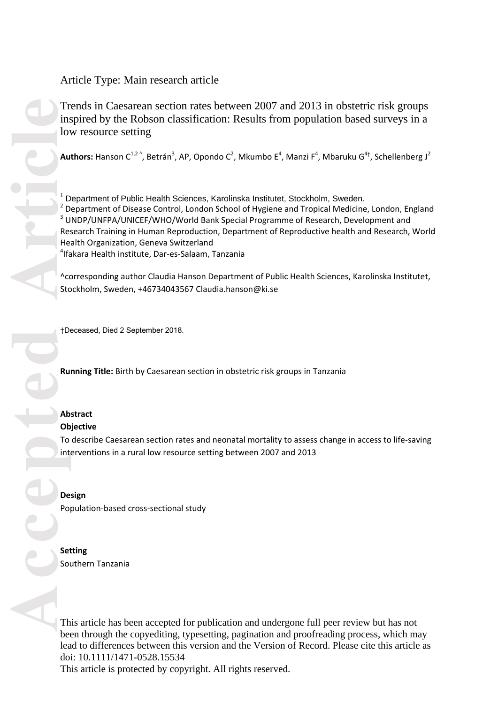# Article Type: Main research article

Trends in Caesarean section rates between 2007 and 2013 in obstetric risk groups inspired by the Robson classification: Results from population based surveys in a low resource setting

Authors: Hanson C<sup>1,2</sup><sup>^</sup>, Betrán<sup>3</sup>, AP, Opondo C<sup>2</sup>, Mkumbo E<sup>4</sup>, Manzi F<sup>4</sup>, Mbaruku G<sup>4†</sup>, Schellenberg J<sup>2</sup>

Trims love of the second of the second of the second of the second of the second of the second of the second of the second of the second of the second of the second of the second of the second of the second of the second o <sup>1</sup> Department of Public Health Sciences, Karolinska Institutet, Stockholm, Sweden. <sup>2</sup> Department of Disease Control, London School of Hygiene and Tropical Medicine, London, England <sup>3</sup> UNDP/UNFPA/UNICEF/WHO/World Bank Special Programme of Research, Development and Research Training in Human Reproduction, Department of Reproductive health and Research, World Health Organization, Geneva Switzerland 4 Ifakara Health institute, Dar-es-Salaam, Tanzania

^corresponding author Claudia Hanson Department of Public Health Sciences, Karolinska Institutet, Stockholm, Sweden, +46734043567 Claudia.hanson@ki.se

†Deceased, Died 2 September 2018.

**Running Title:** Birth by Caesarean section in obstetric risk groups in Tanzania

## **Abstract**

## **Objective**

To describe Caesarean section rates and neonatal mortality to assess change in access to life-saving interventions in a rural low resource setting between 2007 and 2013

**Design**  Population-based cross-sectional study

## **Setting** Southern Tanzania

This article has been accepted for publication and undergone full peer review but has not been through the copyediting, typesetting, pagination and proofreading process, which may lead to differences between this version and the Version of Record. Please cite this article as doi: 10.1111/1471-0528.15534

This article is protected by copyright. All rights reserved.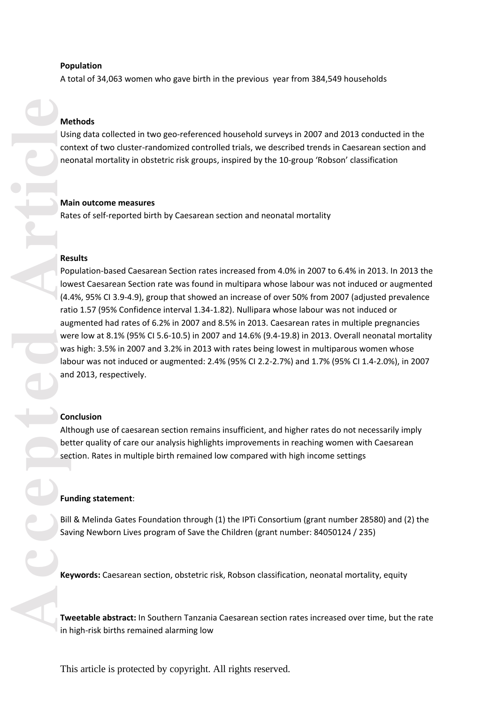#### **Population**

A total of 34,063 women who gave birth in the previous year from 384,549 households

#### **Methods**

Using data collected in two geo -referenced household surveys in 2007 and 2013 conducted in the context of two cluster -randomized controlled trials, we described trends in Caesarean section and neonatal mortality in obstetric risk groups, inspired by the 10 -group 'Robson' classification

#### **Main outcome mea sures**

Rates of self -reported birth by Caesarean section and neonatal mortality

#### **Results**

Population -based Caesarean Section rates increased from 4.0% in 2007 to 6.4% in 2013. In 2013 the lowest Caesarean Section rate was found in multipara whose labour was not induced or augmented (4.4%, 95% CI 3.9-4.9), group that showed an increase of over 50% from 2007 (adjusted prevalence ratio 1.57 (95% Confidence interval 1.34 -1.82). Nullipara whose labour was not induced or augmented had rates of 6.2% in 2007 and 8.5% in 2013. Caesarean rates in multiple pregnancies were low at 8.1% (95% CI 5.6 -10.5) in 2007 and 14.6% (9.4 -19.8) in 2013. Overall neonatal mortality was high : 3.5% in 2007 and 3.2% in 2013 with rates being lowest in multiparous women whose labour was not induced or augmented: 2.4% (95% CI 2.2 -2.7%) and 1.7% (95% CI 1.4 -2.0%), in 2007 and 2013, respectively.

#### **Conclusion**

Although use of caesarean section remains insufficient, and higher rates do not necessarily imply better quality of care our analysis highlights improvements in reaching women with Caesarean section. Rates in multiple birth remained low compared with high income settings

#### **Funding statement**:

Bill & Melinda Gates Foundation through (1) the IPTi Consortium (grant number 28580) and (2) the Saving Newborn Lives program of Save the Children (grant number: 84050124 / 235)

**Keywords :** Caesarean section, obstetric risk, Robson classification, neonatal mortality, equity

**Tweetable abstract:** In Southern Tanzania Caesarean section rates increased over time, but the rate in high -risk births remained alarming low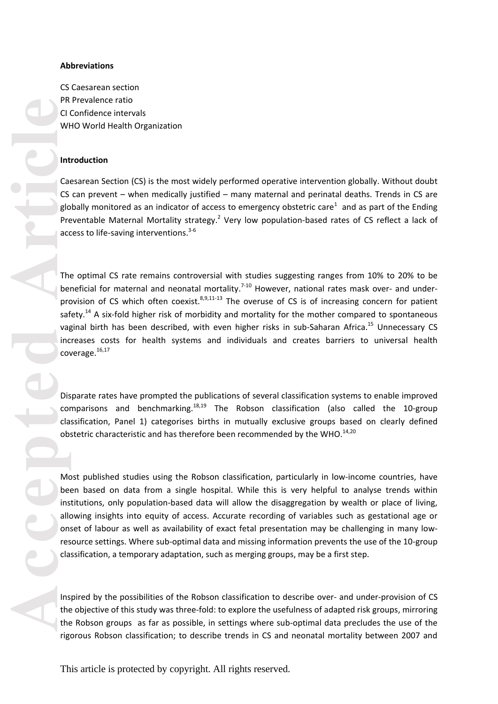#### **Abbreviations**

CS Caesarean section PR Prevalence ratio CI Confidence intervals WHO World Health Organization

#### **Introduction**

Caesarean Section (CS) is the most widely performed operative intervention globally. Without doubt CS can prevent - when medically justified - many maternal and perinatal deaths. Trends in CS are globally monitored as an indicator of access to emergency obstetric care<sup>1</sup> and as part of the Ending Preventable Maternal Mortality strategy.<sup>2</sup> Very low population-based rates of CS reflect a lack of access to life-saving interventions.<sup>3-6</sup>

The optimal CS rate remains controversial with studies suggesting ranges from 10 % to 20% to be beneficial for maternal and neonatal mortality.<sup>7-10</sup> However, national rates mask over- and underprovision of CS which often coexist.<sup>8,9,11-13</sup> The overuse of CS is of increasing concern for patient safety.<sup>14</sup> A six-fold higher risk of morbidity and mortality for the mother compared to spontaneous vaginal birth has been described, with even higher risks in sub-Saharan Africa.<sup>15</sup> Unnecessary CS increases costs for health systems and individuals and creates barriers to universal health coverage.<sup>16,17</sup>

Disparate rates have prompted the publications of several classification systems to enable improved comparisons and benchmarking.<sup>18,19</sup> The Robson classification (also called the 10-group classification , Panel 1 ) categorises births in mutually exclusive groups based on clearly defined obstetric characteristic and has therefore been recommended by the WHO. $^{14,20}$ 

Most published studies using the Robson classification, particularly in low -income countries, have been based on data from a single hospital. While this is very helpful to analyse trends within institutions, only population-based data will allow the disaggregation by wealth or place of living, allowing insights into equity of access. Accurate recording of variables such as gestational age or onset of labour as well as availability of exact fetal presentation may be challenging in many low resource settings. Where sub-optimal data and missing information prevents the use of the 10-group classification, a temporary adaptation, such as merging groups, may be a first step.

Inspired by the possibilities of the Robson classification to describe over - and under -provision of CS the objective of this study was three -fold: to explore the usefulness of adapted risk groups , mirroring the Robson groups as far as possible, in settings where sub-optimal data precludes the use of the rigorous Robson classification; to describe trends in CS and neonatal mortality between 2007 and

This article is protected by copyright. All rights reserved.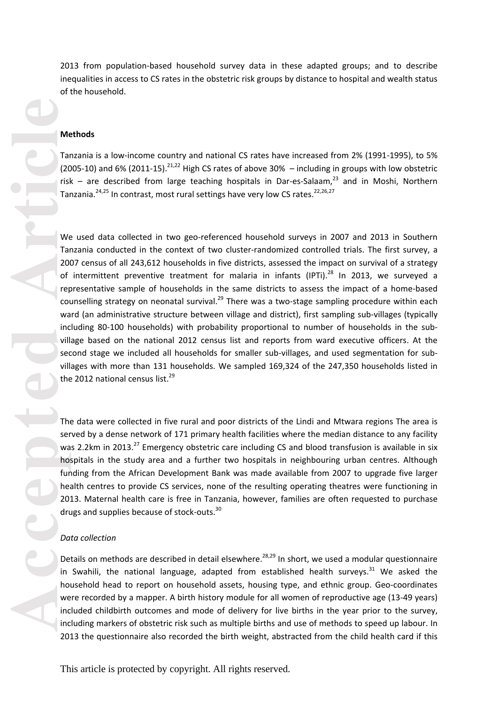2013 from population -based household survey data in these adapted groups; and to describe inequalities in access to CS rates in the obstetric risk groups by distance to hospital and wealth status of the household.

#### **Methods**

Tanzania is a low -income country and national CS rates have increased from 2% (1991 -1995), to 5% (2005-10) and 6% (2011-15). $^{21,22}$  High CS rates of above 30%  $-$  including in groups with low obstetric risk – are described from large teaching hospitals in Dar-es-Salaam,<sup>23</sup> and in Moshi, Northern Tanzania.<sup>24,25</sup> In contrast, most rural settings have very low CS rates.<sup>22,26,27</sup>

We used data collected in two geo -referenced household surveys in 2007 and 2013 in Southern Tanzania conducted in the context of two cluster -randomized controlled trials. The first survey, a 2007 census of all 243,612 households in five districts, assessed the impact on survival of a strategy of intermittent preventive treatment for malaria in infants (IPTi).<sup>28</sup> In 2013, we surveyed a representative sample of households in the same districts to assess the impact of a home-based counselling strategy on neonatal survival.<sup>29</sup> There was a two-stage sampling procedure within each ward (an administrative structure between village and district), first sampling sub -villages (typically including 80 -100 households) with probability proportional to number of households in the sub village based on the national 2012 census list and reports from ward executive officers. At the second stage we included all households for smaller sub -villages, and used segmentation for sub villages with more than 131 households. We sampled 169,324 of the 247,350 households listed in the 2012 national census list.<sup>29</sup>

The data were collected in five rural and poor district s of the Lindi and Mtwara region s The area is served by a dense network of 171 primary health facilities where the median distance to any facility was 2.2km in 2013.<sup>27</sup> Emergency obstetric care including CS and blood transfusion is available in six hospitals in the study area and a further two hospitals in neighbouring urban centres. Although funding from the African Development Bank was made available from 2007 to upgrade five larger health centres to provide CS services, none of the resulting operating theatres were functioning in 2013. Maternal health care is free in Tanzania, however, families are often requested to purchase drugs and supplies because of stock-outs.<sup>30</sup>

#### *Data collection*

Details on methods are described in detail elsewhere.<sup>28,29</sup> In short, we used a modular questionnaire in Swahili, the national language, adapted from established health surveys.<sup>31</sup> We asked the household head to report on household assets, housing type, and ethnic group. Geo -coordinates were recorded by a mapper. A birth history module for all women of reproductive age (13 -49 years) included childbirth outcomes and mode of delivery for live births in the year prior to the survey, including markers of obstetric risk such as multiple births and use of methods to speed up labour . In 2013 the questionnaire also recorded the birth weight, abstracted from the child health card if this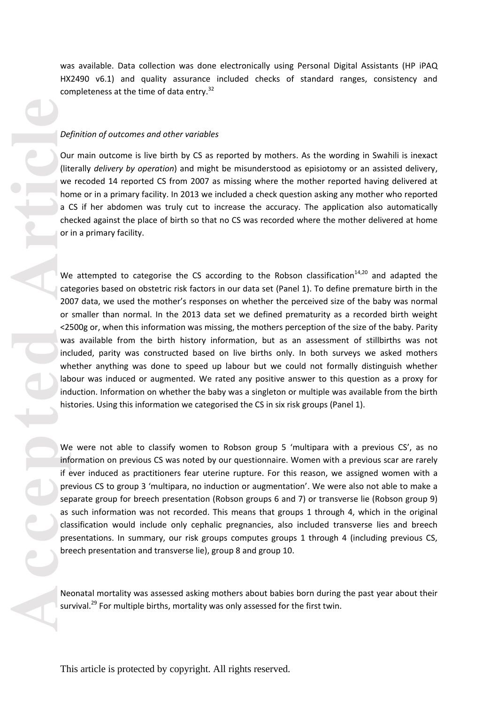was available. Data collection was done electronically using Personal Digital Assistants (HP iPAQ HX2490 v6.1) and quality assurance included checks of standard ranges, consistency and completeness at the time of data entry.<sup>32</sup>

#### *Definition of outcomes and other variables*

Our main outcome is live birth by CS as reported by mothers. As the wording in Swahili is inexact (literally *delivery by operation*) and might be misunderstood as episiotomy or an assisted delivery, we recoded 14 reported CS from 2007 as missing where the mother reported having delivered at home or in a primary facility. In 2013 we included a check question asking any mother who reported a C S if her abdomen was truly cut to increase the accuracy. The application also automatically checked against the place of birth so that no CS was recorded where the mother delivered at home or in a primary facility.

We attempted to categorise the CS according to the Robson classification<sup>14,20</sup> and adapted the categories based on obstetric risk factors in our data set (Panel 1). To define premature birth in the 2007 data, we used the mother's responses on whether the perceived size of the baby was normal or smaller than normal. In the 2013 data set we defined prematurity as a recorded birth weight <2500g or, when this information was missing, the mothers perception o f the size of the baby. Parity was available from the birth history information, but as an assessment of stillbirth s was not included, parity was constructed based on live births only. In both survey s we asked mothers whether anything was done to speed up labour but we could not formally distinguish whether labour was induced or augmented. We rated any positive answer to this question as a proxy for induction. Information on whether the baby was a singleton or multiple was available from the birth histories. Using this information we categorise d the CS in six risk groups (Panel 1).

We were not able to classify women to Robson group 5 'multipara with a previous CS', as no information on previous CS was noted by our questionnaire. Women with a previous scar are rarely if ever induced as practitioners fear uterine rupture. For this reason, we assigned women with a previous CS to group 3 'multipara, no induction or augmentation'. We were also not able to make a separate group for breech presentation (Robson groups 6 and 7) or transverse lie (Robson group 9) as such information was not recorded. This means that groups 1 through 4 , which in the original classification would include only cephalic pregnancies, also included transverse lies and breech presentations. In summary, our risk groups computes groups 1 through 4 (including previous CS, breech presentation and transverse lie), group 8 and group 10.

Neonatal mortality was assessed asking mothers about babies born during the past year about their survival.<sup>29</sup> For multiple births, mortality was only assessed for the first twin.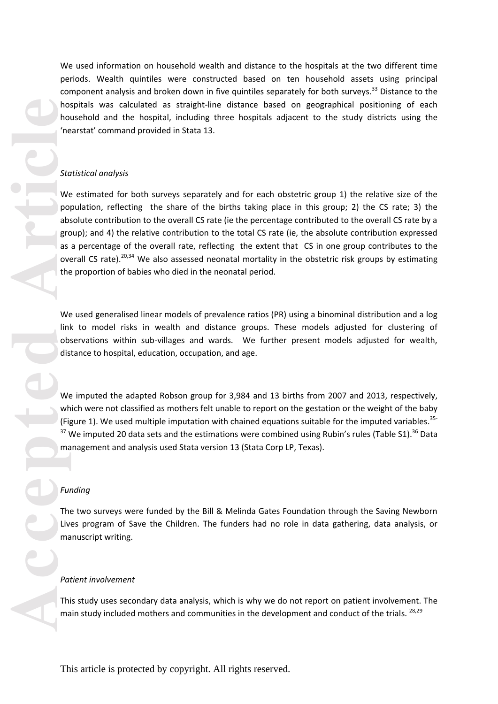We used information on household wealth and distance to the hospitals at the two different time periods. Wealth quintiles were constructed based on ten household assets using principal component analysis and broken down in five quintiles separately for both surveys.<sup>33</sup> Distance to the hospitals was calculated as straight -line distance based on geographical positioning of each household and the hospital, including three hospitals adjacent to the study districts using the 'nearstat' command provided in Stata 13.

#### *Statistical analysis*

**Accepted Article**<br> **Accepted Article**<br> **Accepted**<br> **Article**<br> **Article**<br> **Article**<br> **Article**<br> **Article**<br> **Article**<br> **Article**<br> **Article**<br> **Article**<br> **Article**<br> **Article**<br> **Article**<br> **Article**<br> **Article**<br> **Article**<br> We estimated for both surveys separately and for each obstetric group 1) the relative size of the population, reflecting the share of the births taking place in this group; 2) the CS rate; 3) the absolute contribution to the overall CS rate (ie the percentage contributed to the overall CS rate by a group); and 4) the relative contribution to the total CS rate (ie, the absolute contribution expressed as a percentage of the overall rate, reflecting the extent that CS in one group contributes to the overall CS rate).<sup>20,34</sup> We also assessed neonatal mortality in the obstetric risk groups by estimating the proportion of babies who died in the neonatal period.

We used generalised linear models of prevalence ratios (PR) using a binominal distribution and a log link to model risks in wealth and distance groups. These models adjusted for clustering of observations within sub -villages and wards. We further present models adjusted for wealth, distance to hospital, education, occupation, and age.

We imputed the adapted Robson group for 3,984 and 13 births from 2007 and 2013, respectively, which were not classified as mothers felt unable to report on the gestation or the weight of the baby (Figure 1). We used multiple imputation with chained equations suitable for the imputed variables.<sup>35-</sup>  $37$  We imputed 20 data sets and the estimations were combined using Rubin's rules (Table S1).  $36$  Data management and analysis used Stata version 13 (Stata Corp LP, Texas).

#### *Funding*

The two surveys were funded by the Bill & Melinda Gates Foundation through the Saving Newborn Lives program of Save the Children. The funders had no role in data gathering, data analysis, or manuscript writing .

#### *Patient involvement*

This study uses secondary data analysis, which is why we do not report on patient involvement. The main study included mothers and communities in the development and conduct of the trials. <sup>28,29</sup>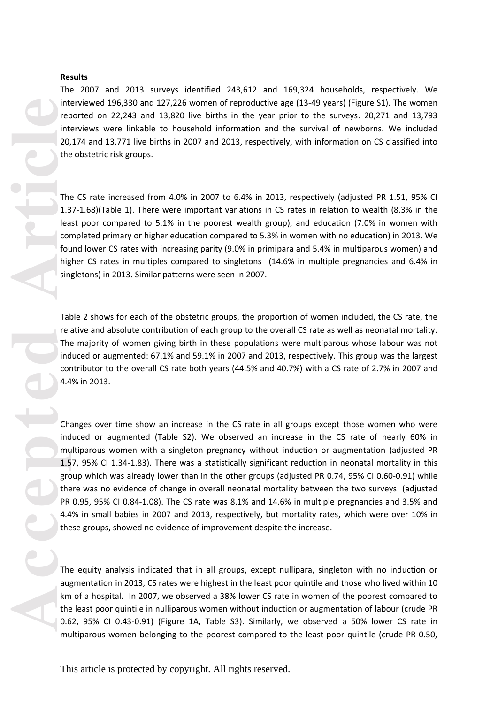#### **Results**

The 2007 and 2013 surveys identified 243,612 and 169,324 households, respectively. We interviewed 196,330 and 127,226 women of reproductive age (13-49 years) (Figure S1). The women reported on 22,243 and 13,820 live births in the year prior to the surveys. 20,271 and 13,793 interviews were linkable to household information and the survival of newborns. We included 20,174 and 13,771 live births in 2007 and 2013, respectively, with information on CS classified into the obstetric risk groups.

The CS rate increased from 4.0% in 2007 to 6.4% in 2013, respectively (adjusted PR 1.51, 95% CI 1.37-1.68)(Table 1). There were important variations in CS rates in relation to wealth (8.3% in the least poor compared to 5.1% in the poorest wealth group), and education (7.0% in women with completed primary or higher education compared to 5.3% in women with no education) in 2013. We found lower CS rates with increasing parity (9.0% in primipara and 5.4% in multiparous women) and higher CS rates in multiples compared to singletons (14.6% in multiple pregnancies and 6.4% in singletons) in 2013. Similar patterns were seen in 2007.

Table 2 shows for each of the obstetric groups, the proportion of women included, the CS rate, the relative and absolute contribution of each group to the overall CS rate as well as neonatal mortality. The majority of women giving birth in these populations were multiparous whose labour was not induced or augmented: 67.1% and 59.1% in 2007 and 2013, respectively. This group was the largest contributor to the overall CS rate both years (44.5% and 40.7%) with a CS rate of 2.7% in 2007 and 4.4% in 2013.

int<br>
reptart<br>
accord the<br>
The<br>
1.3 lea cord fol.<br>
The<br>
1.3 lea cord fol.<br>
ind<br>
sin<br>
The<br>
accepted<br>
The<br>
A.4<br>
Ch: ind<br>
mu 1.5<br>
Free A.4<br>
the<br>
PR<br>
4.4<br>
the<br>
PR<br>
4.4<br>
the<br>
PR<br>
4.4<br>
the<br>
DR<br>  $\frac{1}{2}$ <br>
the<br>  $\frac{1}{2}$ <br>
the<br>  $\frac$ Changes over time show an increase in the CS rate in all groups except those women who were induced or augmented (Table S2). We observed an increase in the CS rate of nearly 60% in multiparous women with a singleton pregnancy without induction or augmentation (adjusted PR 1.57, 95% CI 1.34-1.83). There was a statistically significant reduction in neonatal mortality in this group which was already lower than in the other groups (adjusted PR 0.74, 95% CI 0.60-0.91) while there was no evidence of change in overall neonatal mortality between the two surveys (adjusted PR 0.95, 95% CI 0.84-1.08). The CS rate was 8.1% and 14.6% in multiple pregnancies and 3.5% and 4.4% in small babies in 2007 and 2013, respectively, but mortality rates, which were over 10% in these groups, showed no evidence of improvement despite the increase.

The equity analysis indicated that in all groups, except nullipara, singleton with no induction or augmentation in 2013, CS rates were highest in the least poor quintile and those who lived within 10 km of a hospital. In 2007, we observed a 38% lower CS rate in women of the poorest compared to the least poor quintile in nulliparous women without induction or augmentation of labour (crude PR 0.62, 95% CI 0.43-0.91) (Figure 1A, Table S3). Similarly, we observed a 50% lower CS rate in multiparous women belonging to the poorest compared to the least poor quintile (crude PR 0.50,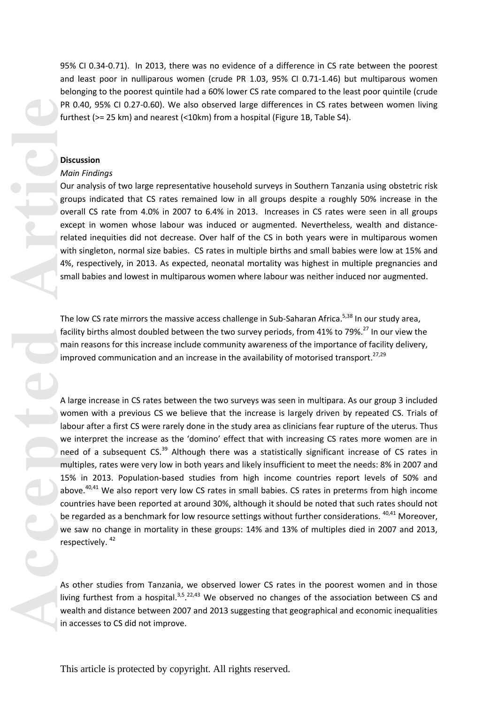95% CI 0.34 -0.71). In 2013, there was no evidence of a difference in CS rate between the poorest and least poor in nulliparous women (crude PR 1.03, 95% CI 0.71 -1.46) but multiparous women belonging to the poorest quintile had a 60% lower CS rate compared to the least poor quintile (crude PR 0.40, 95% CI 0.27-0.60). We also observed large differences in CS rates between women living furthest (>= 25 km) and nearest (<10km) from a hospital (Figure 1B, Table S4).

## **Discussion**

#### *Main Findings*

Our analysis of two large representative household surveys in Southern Tanzania using obstetric risk groups indicated that CS rates remained low in all groups despite a roughly 50% increase in the overall CS rate from 4.0% in 2007 to 6.4% in 2013. Increases in CS rates were seen in all groups except in women whose labour was induced or augmented. Nevertheless, wealth and distance related inequities did not decrease. Over half of the CS in both years were in multiparous women with singleton, normal size babies. CS rates in multiple births and small babies were low at 15% and 4%, respectively, in 2013. As expected, neonatal mortality was highest in multiple pregnancies and small babies and lowest in multiparous women where labour was neither induced nor augmented.

The low CS rate mirrors the massive access challenge in Sub-Saharan Africa.<sup>5,38</sup> In our study area, facility births almost doubled between the two survey periods, from 41% to 79%.<sup>27</sup> In our view the main reason s for this increase include community awareness of the importance of facility delivery, improved communication and an increase in the availability of motorised transport.<sup>27,29</sup>

PR<br>
PR<br>
fur<br>
Dis<br>
Mc<br>
Ou<br>
grc<br>
ove excepted<br>
we<br>
sm<br>
The face<br>
sm<br>
The face<br>
ma imp<br>
A li<br>
we<br>
ne mu<br>
155<br>
about<br>
be me<br>
ne mu<br>
155<br>
about<br>
be me<br>
and he me<br>
int<br>
<br>
A li<br>
about<br>
<br>
<br>
A li<br>
<br>
<br>
<br>
<br>
<br>
<br>
<br>
<br>
<br>
<br>
<br>
<br>
<br>
<br>
<br>
<br>
<br> A large increase in CS rates between the two surveys was seen in multipara. As our group 3 included women with a previous CS we believe that the increase is largely driven by repeated CS. Trials of labour after a first CS were rarely done in the study area as clinicians fear rupture of the uterus. Thus we interpret the increase as the 'domino' effect that with increasing CS rates more women are in need of a subsequent CS.<sup>39</sup> Although there was a statistically significant increase of CS rates in multiples, rates were very low in both years and likely insufficient to meet the needs: 8% in 2007 and 15% in 2013. Population -based studies from high income countries report levels of 50% and above.<sup>40,41</sup> We also report very low CS rates in small babies. CS rates in preterms from high income countries have been reported at around 30%, although it should be noted that such rates should not be regarded as a benchmark for low resource settings without further considerations. <sup>40,41</sup> Moreover, we saw no change in mortality in these groups: 14% and 13% of multiples died in 2007 and 2013, respectively. <sup>42</sup>

As other studies from Tanzania, we observed lower CS rates in the poorest women and in those living furthest from a hospital.<sup>3,5</sup>.<sup>22,43</sup> We observed no changes of the association between CS and wealth and distance between 2007 and 2013 suggesting that geographical and economic inequalities in accesses to CS did not improve.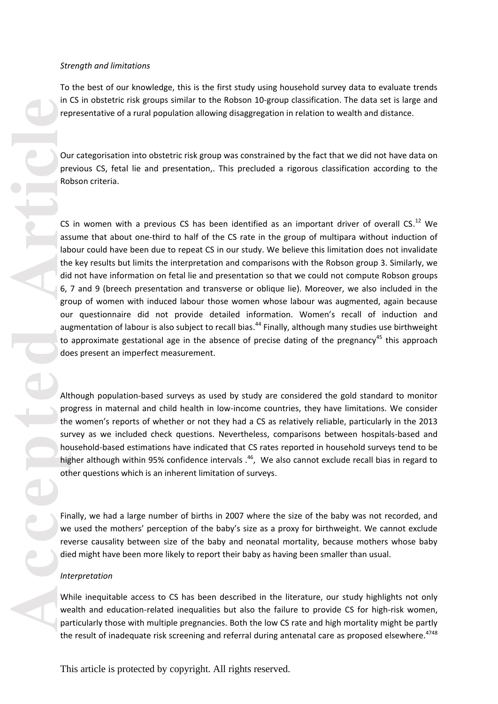#### *Strength and limitations*

To the best of our knowledge, this is the first study using household survey data to evaluate trends in CS in obstetric risk groups similar to the Robson 10 -group classification. The data set is large and representative of a rural population allowing disaggregation in relation to wealth and distance.

Our categorisation into obstetric risk group was constrained by the fact that we did not have data on previous C S, fetal lie and presentation,. This precluded a rigorous classification according to the Robson criteria.

CS in women with a previous CS has been identified as an important driver of overall CS. $^{12}$  We assume that about one-third to half of the CS rate in the group of multipara without induction of labour could have been due to repeat CS in our study . We believe this limitation does not invalidate the key results but limits the interpretation and comparisons with the Robson group 3. Similarly, we did not have information on fetal lie and presentation so that we could not compute Robson group s 6, 7 and 9 (breech presentation and transverse or oblique lie ). Moreover, we also included in the group of women with induced labour those women whose labour was augmented, again because our questionnaire did not provide detailed information. Women's recall of induction and augmentation of labour is also subject to recall bias.<sup>44</sup> Finally, although many studies use birthweight to approximate gestational age in the absence of precise dating of the pregnancy<sup>45</sup> this approach does present an imperfect measurement.

Although population -based surveys as used by study are considered the gold standard to monitor progress in maternal and child health in low-income countries, they have limitations. We consider the women's reports of whether or not they had a CS as relatively reliable, particularly in the 2013 survey as we included check questions. Nevertheless, comparisons between hospitals -based and household -based estimations have indicated that CS rates reported in household surveys tend to be higher although within 95% confidence intervals .<sup>46</sup>, We also cannot exclude recall bias in regard to other questions which is an inherent limitation of surveys .

Finally, we had a large number of births in 2007 where the size of the baby was not recorded, and we used the mothers' perception of the baby's size as a proxy for birthweight. We cannot exclude reverse causality between size of the baby and neonatal mortality, because mothers whose baby died might have been more likely to report their baby as having been smaller than usual.

#### *Interpretation*

While inequitable access to CS has been described in the literature, our study highlights not only wealth and education-related inequalities but also the failure to provide CS for high-risk women, particularly those with multiple pregnancies. Both the low CS rate and high mortality might be partly the result of inadequate risk screening and referral during antenatal care as proposed elsewhere.<sup>4748</sup>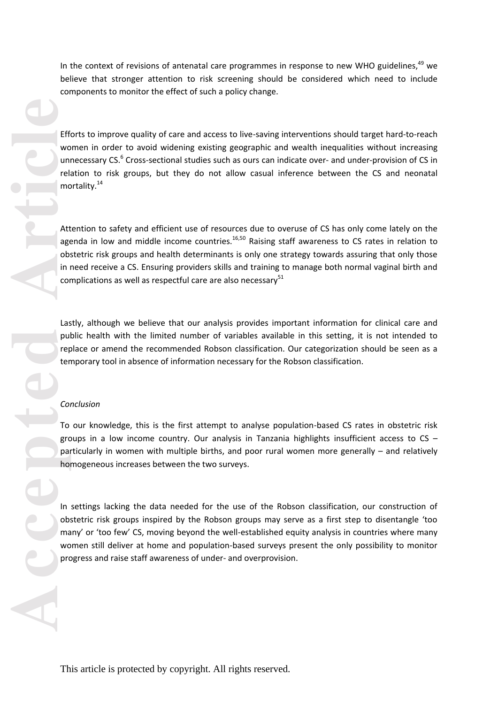In the context of revisions of antenatal care programmes in response to new WHO guidelines,<sup>49</sup> we believe that stronger attention to risk screening should be considered which need to include components to monitor the effect of such a policy change.

Efforts to improve quality of care and access to live-saving interventions should target hard-to-reach women in order to avoid widening existing geographic and wealth inequalities without increasing unnecessary CS.<sup>6</sup> Cross-sectional studies such as ours can indicate over- and under-provision of CS in relation to risk groups, but they do not allow casual inference between the CS and neonatal mortality.<sup>14</sup>

Attention to safety and efficient use of resource s due to overuse of CS has only come lately on the agenda in low and middle income countries.<sup>16,50</sup> Raising staff awareness to CS rates in relation to obstetric risk groups and health determinants is only one strategy towards assuring that only those in need receive a CS. Ensuring providers skills and training to manage both normal vaginal birth and complications as well as respectful care are also necessary $51$ 

Lastly, although we believe that our analysis provides important information for clinical care and public health with the limited number of variables available in this setting, it is not intended to replace or amend the recommended Robson classification. Our categorization should be seen as a temporary tool in absence of information necessary for the Robson classification.

#### *Conclusion*

To our knowledge, this is the first attempt to analyse population - based CS rates in obstetric risk groups in a low income country. Our analysis in Tanzania highlights insufficient access to CS – particularly in women with multiple births, and poor rural women more generally – and relatively homogeneous increases between the two surveys.

In setting s lacking the data needed for the use of the Robson classification, our construction of obstetric risk groups inspired by the Robson groups may serve as a first step to disentangle 'too many' or 'too few' CS, moving beyond the well -established equity analysis in countries where many women still deliver at home and population-based surveys present the only possibility to monitor progress and raise staff awareness of under - and overprovision .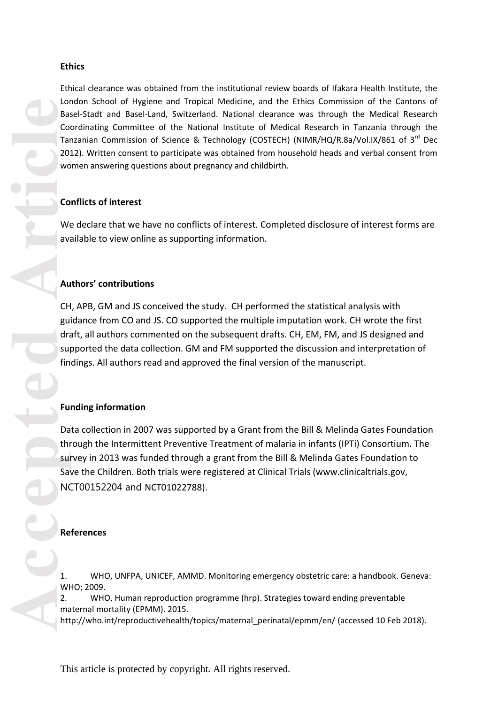## **Ethics**

Ethical clearance was obtained from the institutional review boards of Ifakara Health Institute, the London School of Hygiene and Tropical Medicine, and the Ethics Commission of the Cantons of Basel-Stadt and Basel-Land, Switzerland. National clearance was through the Medical Research Coordinating Committee of the National Institute of Medical Research in Tanzania through the Tanzanian Commission of Science & Technology (COSTECH) (NIMR/HQ/R.8a/Vol.IX/861 of 3<sup>rd</sup> Dec 2012). Written consent to participate was obtained from household heads and verbal consent from women answering questions about pregnancy and childbirth.

# **Conflicts of interest**

We declare that we have no conflicts of interest. Completed disclosure of interest forms are available to view online as supporting information.

# **Authors' contributions**

CH, APB, GM and JS conceived the study. CH performed the statistical analysis with guidance from CO and JS. CO supported the multiple imputation work. CH wrote the first draft, all authors commented on the subsequent drafts. CH, EM, FM, and JS designed and supported the data collection. GM and FM supported the discussion and interpretation of findings. All authors read and approved the final version of the manuscript.

# **Funding information**

Data collection in 2007 was supported by a Grant from the Bill & Melinda Gates Foundation through the Intermittent Preventive Treatment of malaria in infants (IPTi) Consortium. The survey in 2013 was funded through a grant from the Bill & Melinda Gates Foundation to Save the Children. Both trials were registered at Clinical Trials (www.clinicaltrials.gov, NCT00152204 and NCT01022788).

# **References**

1. WHO, UNFPA, UNICEF, AMMD. Monitoring emergency obstetric care: a handbook. Geneva: WHO; 2009.

2. WHO, Human reproduction programme (hrp). Strategies toward ending preventable maternal mortality (EPMM). 2015.

http://who.int/reproductivehealth/topics/maternal\_perinatal/epmm/en/ (accessed 10 Feb 2018).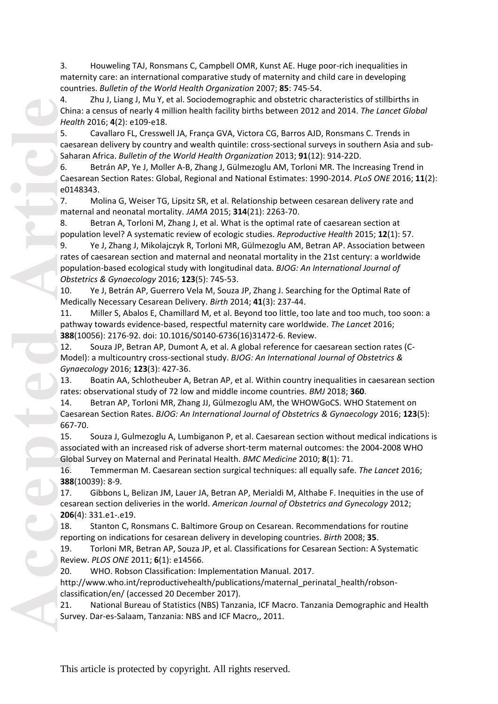3. Houweling TAJ, Ronsmans C, Campbell OMR, Kunst AE. Huge poor -rich inequalities in maternity care: an international comparative study of maternity and child care in developing countries. *Bulletin of the World Health Organization* 2007; **85**: 745 -54.

4. Zhu J, Liang J, Mu Y, et al. Sociodemographic and obstetric characteristics of stillbirths in China: a census of nearly 4 million health facility births between 2012 and 2014. *The Lancet Global Health* 2016; **4**(2): e109 -e18.

5. Cavallaro FL, Cresswell JA, França GVA, Victora CG, Barros AJD, Ronsmans C. Trends in caesarean delivery by country and wealth quintile: cross-sectional surveys in southern Asia and sub-Saharan Africa. *Bulletin of the World Health Organization* 2013; **91**(12): 914 -22D.

6. Betrán AP, Ye J, Moller A-B, Zhang J, Gülmezoglu AM, Torloni MR. The Increasing Trend in Caesarean Section Rates: Global, Regional and National Estimates: 1990 -2014. *PLoS ONE* 2016; **11**(2): e0148343.

7. Molina G, Weiser TG, Lipsitz SR, et al. Relationship between cesarean delivery rate and maternal and neonatal mortality. *JAMA* 2015; **314**(21): 2263 -70.

8. Betran A, Torloni M, Zhang J, et al. What is the optimal rate of caesarean section at population level? A systematic review of ecologic studies. *Reproductive Health* 2015; **12**(1): 57.

4. Chi Hec 5. Cade 6. Cade 6. Cade 6. Cade 6. Cade 6. Cade 6. Cade 6. T. ma 8. B. poly 9. rat poly 0. Hec 11. pat 38% 12. Mc Gy<sub>1</sub> 13. rat 14. Cade 66 15. 5. ass Glu 16. 38% 17. ces 200 18. er 19. Re 20. htt cla 21. Sur 9. Ye J, Zhang J, Mikolajczyk R, Torloni MR, Gülmezoglu AM, Betran AP. Association between rates of caesarean section and maternal and neonatal mortality in the 21st century: a worldwide population -based ecological study with longitudinal data. *BJOG: An International Journal of Obstetrics & Gynaecology* 2016; **123**(5): 745 -53.

10. Ye J, Betrán AP, Guerrero Vela M, Souza JP, Zhang J. Searching for the Optimal Rate of Medically Necessary Cesarean Delivery. *Birth* 2014; **41**(3): 237 -44.

11. Miller S, Abalos E, Chamillard M, et al. Beyond too little, too late and too much, too soon: a pathway towards evidence -based, respectful maternity care worldwide. *The Lancet* 2016; 388(10056): 2176-92. doi: 10.1016/S0140-6736(16)31472-6. Review.

12. Souza JP, Betran AP, Dumont A, et al. A global reference for caesarean section rates (C - Model): a multicountry cross -sectional study. *BJOG: An International Journal of Obstetrics & Gynaecology* 2016; **123**(3): 427 -36.

13. Boatin AA, Schlotheuber A, Betran AP, et al. Within country inequalities in caesarean section rates: observational study of 72 low and middle income countries. *BMJ* 2018; **360** .

14. Betran AP, Torloni MR, Zhang JJ, Gülmezoglu AM, the WHOWGoCS. WHO Statement on Caesarean Section Rates. *BJOG: An International Journal of Obstetrics & Gynaecology* 2016; **123**(5): 667 -70.

15. Souza J, Gulmezoglu A, Lumbiganon P, et al. Caesarean section without medical indications is associated with an increased risk of adverse short -term maternal outcomes: the 2004 -2008 WHO Global Survey on Maternal and Perinatal Health. *BMC Medicine* 2010; **8**(1): 71.

16. Temmerman M. Caesarean section surgical techniques: all equally safe. *The Lancet* 2016; **388**(10039): 8 -9.

17. Gibbons L, Belizan JM, Lauer JA, Betran AP, Merialdi M, Althabe F. Inequities in the use of cesarean section deliveries in the world. *American Journal of Obstetrics and Gynecology* 2012; **206**(4): 331.e1-.e19.

18. Stanton C, Ronsmans C. Baltimore Group on Cesarean. Recommendations for routine reporting on indications for cesarean delivery in developing countries. *Birth* 2008; **35** .

19. Torloni MR, Betran AP, Souza JP, et al. Classifications for Cesarean Section: A Systematic Review. *PLOS ONE* 2011; **6**(1): e14566.

20. WHO. Robson Classification: Implementation Manual. 2017.

http://www.who.int/reproductivehealth/publications/maternal\_perinatal\_health/robson classification/en/ (accessed 20 December 2017).

21. National Bureau of Statistics (NBS) Tanzania, ICF Macro. Tanzania Demographic and Health Survey. Dar -es -Salaam, Tanzania: NBS and ICF Macro,, 2011.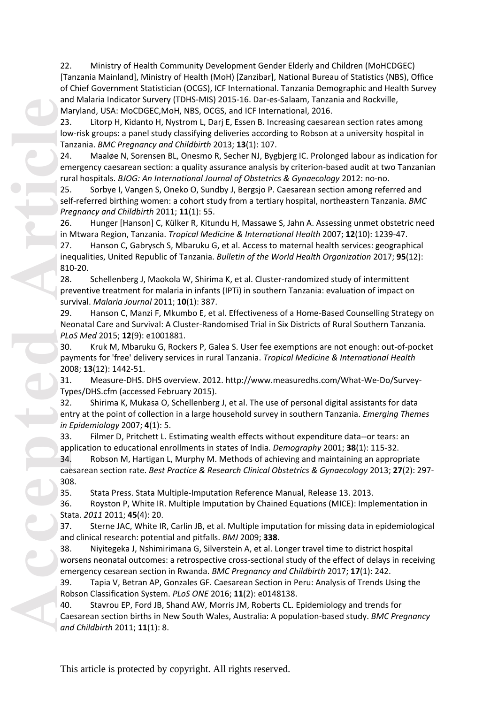22. Ministry of Health Community Development Gender Elderly and Children (MoHCDGEC) [Tanzania Mainland], Ministry of Health (MoH) [Zanzibar], National Bureau of Statistics (NBS), Office of Chief Government Statistician (OCGS), ICF International. Tanzania Demographic and Health Survey and Malaria Indicator Survery (TDHS-MIS) 2015-16. Dar-es-Salaam, Tanzania and Rockville, Maryland, USA: MoCDGEC,MoH, NBS, OCGS, and ICF International, 2016.

23. Litorp H, Kidanto H, Nystrom L, Darj E, Essen B. Increasing caesarean section rates among low -risk groups: a panel study classifying deliveries according to Robson at a university hospital in Tanzania. *BMC Pregnancy and Childbirth* 2013; **13**(1): 107.

24. Maaløe N, Sorensen BL, Onesmo R, Secher NJ, Bygbjerg IC. Prolonged labour as indication for emergency caesarean section: a quality assurance analysis by criterion -based audit at two Tanzanian rural hospitals. *BJOG: An International Journal of Obstetrics & Gynaecology* 2012: no -no.

25. Sorbye I, Vangen S, Oneko O, Sundby J, Bergsjo P. Caesarean section among referred and self -referred birthing women: a cohort study from a tertiary hospital, northeastern Tanzania. *BMC Pregnancy and Childbirth* 2011; **11**(1): 55.

26. Hunger [Hanson] C, Külker R, Kitundu H, Massawe S, Jahn A. Assessing unmet obstetric need in Mtwara Region, Tanzania. *Tropical Medicine & International Health* 2007; **12**(10): 1239 -47.

27. Hanson C, Gabrysch S, Mbaruku G, et al. Access to maternal health services: geographical inequalities, United Republic of Tanzania. *Bulletin of the World Health Organization* 2017; **95**(12): 810 -20.

and Ma<br> **Accepted**<br>
23. low<br>
Tar 24. em rur 25. sel<br>
Pre 26. in 1<br>
27. ine<br>
81(28. Pre 28. in 1<br>
27. ine<br>
81(28. Pre 29. aver 29. aver 29. aver 29. aver 29. 200<br>
31. Ty<sub>H</sub> 32. en *in 1*<br>
33. app<br>
200<br>
31. TyH 32. en *in 1* 28. Schellenberg J, Maokola W, Shirima K, et al. Cluster -randomized study of intermittent preventive treatment for malaria in infants (IPTi) in southern Tanzania: evaluation of impact on survival. *Malaria Journal* 2011; **10**(1): 387.

29. Hanson C, Manzi F, Mkumbo E, et al. Effectiveness of a Home -Based Counselling Strategy on Neonatal Care and Survival: A Cluster -Randomised Trial in Six Districts of Rural Southern Tanzania. *PLoS Med* 2015; **12**(9): e1001881.

30. Kruk M, Mbaruku G, Rockers P, Galea S. User fee exemptions are not enough: out -of -pocket payments for 'free' delivery services in rural Tanzania. *Tropical Medicine & International Health* 2008; **13**(12): 1442 -51.

31. Measure -DHS. DHS overview. 2012. http://www.measuredhs.com/What -We -Do/Survey - Types/DHS.cfm (accessed February 2015).

32. Shirima K, Mukasa O, Schellenberg J, et al. The use of personal digital assistants for data entry at the point of collection in a large household survey in southern Tanzania. *Emerging Themes in Epidemiology* 2007; **4**(1): 5.

33. Filmer D, Pritchett L. Estimating wealth effects without expenditure data--or tears: an application to educational enrollments in states of India. *Demography* 2001; **38**(1): 115 -32.

34. Robson M, Hartigan L, Murphy M. Methods of achieving and maintaining an appropriate caesarean section rate. *Best Practice & Research Clinical Obstetrics & Gynaecology* 2013; **27**(2): 297 - 308.

35. Stata Press. Stata Multiple -Imputation Reference Manual, Release 13. 2013.

36. Royston P, White IR. Multiple Imputation by Chained Equations (MICE): Implementation in Stata. *2011* 2011; **45**(4): 20.

37. Sterne JAC, White IR, Carlin JB, et al. Multiple imputation for missing data in epidemiological and clinical research: potential and pitfalls. *BMJ* 2009; **338** .

38. Niyitegeka J, Nshimirimana G, Silverstein A, et al. Longer travel time to district hospital worsens neonatal outcomes: a retrospective cross -sectional study of the effect of delays in receiving emergency cesarean section in Rwanda. *BMC Pregnancy and Childbirth* 2017; **17**(1): 242.

39. Tapia V, Betran AP, Gonzales GF. Caesarean Section in Peru: Analysis of Trends Using the Robson Classification System. *PLoS ONE* 2016; **11**(2): e0148138.

40. Stavrou EP, Ford JB, Shand AW, Morris JM, Roberts CL. Epidemiology and trends for Caesarean section births in New South Wales, Australia: A population -based study. *BMC Pregnancy and Childbirth* 2011; **11**(1): 8.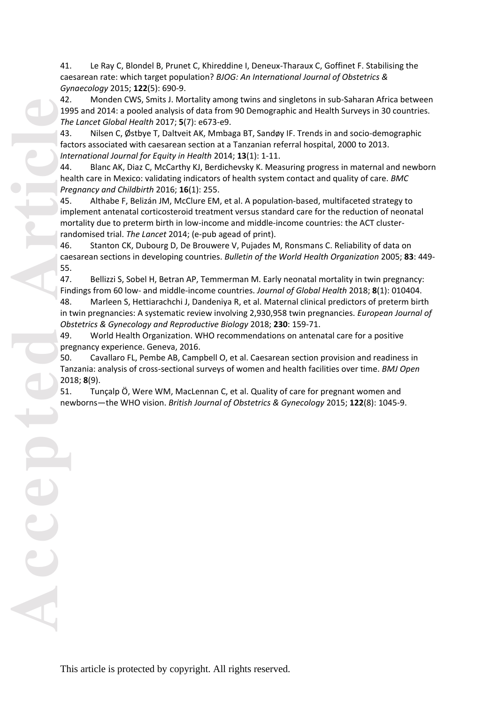41. Le Ray C, Blondel B, Prunet C, Khireddine I, Deneux -Tharaux C, Goffinet F. Stabilising the caesarean rate: which target population? *BJOG: An International Journal of Obstetrics & Gynaecology* 2015; **122**(5): 690 -9.

42. Monden CWS, Smits J. Mortality among twins and singletons in sub -Saharan Africa between 1995 and 2014: a pooled analysis of data from 90 Demographic and Health Surveys in 30 countries. *The Lancet Global Health* 2017; **5**(7): e673 -e9.

43. Nilsen C, Østbye T, Daltveit AK, Mmbaga BT, Sandøy IF. Trends in and socio -demographic factors associated with caesarean section at a Tanzanian referral hospital, 2000 to 2013. *International Journal for Equity in Health* 2014; **13**(1): 1 -11.

44. Blanc AK, Diaz C, McCarthy KJ, Berdichevsky K. Measuring progress in maternal and newborn health care in Mexico: validating indicators of health system contact and quality of care. *BMC Pregnancy and Childbirth* 2016; **16**(1): 255.

45. Althabe F, Belizán JM, McClure EM, et al. A population -based, multifaceted strategy to implement antenatal corticosteroid treatment versus standard care for the reduction of neonatal mortality due to preterm birth in low -income and middle -income countries: the ACT cluster randomised trial. *The Lancet* 2014; (e -pub agead of print).

46. Stanton CK, Dubourg D, De Brouwere V, Pujades M, Ronsmans C. Reliability of data on caesarean sections in developing countries. *Bulletin of the World Health Organization* 2005; **83**: 449 - 55.

47. Bellizzi S, Sobel H, Betran AP, Temmerman M. Early neonatal mortality in twin pregnancy: Findings from 60 low- and middle-income countries. *Journal of Global Health* 2018; 8(1): 010404. 48. Marleen S, Hettiarachchi J, Dandeniya R, et al. Maternal clinical predictors of preterm birth in twin pregnancies: A systematic review involving 2,930,958 twin pregnancies. *European Journal of* 

*Obstetrics & Gynecology and Reproductive Biology* 2018; **230**: 159 -71. 49. World Health Organization. WHO recommendations on antenatal care for a positive pregnancy experience. Geneva, 2016.

50. Cavallaro FL, Pembe AB, Campbell O, et al. Caesarean section provision and readiness in Tanzania: analysis of cross-sectional surveys of women and health facilities over time. *BMJ Open* 2018; **8**(9).

51. Tunçalp Ӧ, Were WM, MacLennan C, et al. Quality of care for pregnant women and newborns —the WHO vision. *British Journal of Obstetrics & Gynecology* 2015; **122**(8): 1045 -9.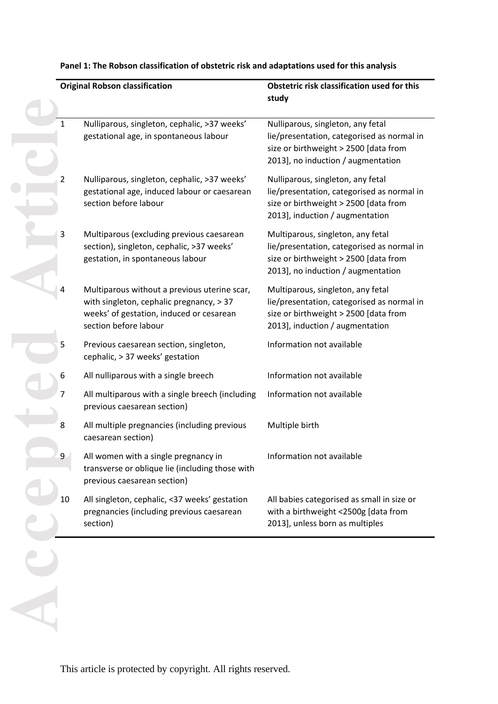|    | <b>Original Robson classification</b>                                                                                                                         | Obstetric risk classification used for this<br>study                                                                                                           |  |  |  |  |
|----|---------------------------------------------------------------------------------------------------------------------------------------------------------------|----------------------------------------------------------------------------------------------------------------------------------------------------------------|--|--|--|--|
|    |                                                                                                                                                               |                                                                                                                                                                |  |  |  |  |
| 1  | Nulliparous, singleton, cephalic, >37 weeks'<br>gestational age, in spontaneous labour                                                                        | Nulliparous, singleton, any fetal<br>lie/presentation, categorised as normal in<br>size or birthweight > 2500 [data from<br>2013], no induction / augmentation |  |  |  |  |
| 2  | Nulliparous, singleton, cephalic, >37 weeks'<br>gestational age, induced labour or caesarean<br>section before labour                                         | Nulliparous, singleton, any fetal<br>lie/presentation, categorised as normal in<br>size or birthweight > 2500 [data from<br>2013], induction / augmentation    |  |  |  |  |
| 3  | Multiparous (excluding previous caesarean<br>section), singleton, cephalic, >37 weeks'<br>gestation, in spontaneous labour                                    | Multiparous, singleton, any fetal<br>lie/presentation, categorised as normal in<br>size or birthweight > 2500 [data from<br>2013], no induction / augmentation |  |  |  |  |
| 4  | Multiparous without a previous uterine scar,<br>with singleton, cephalic pregnancy, > 37<br>weeks' of gestation, induced or cesarean<br>section before labour | Multiparous, singleton, any fetal<br>lie/presentation, categorised as normal in<br>size or birthweight > 2500 [data from<br>2013], induction / augmentation    |  |  |  |  |
| 5  | Previous caesarean section, singleton,<br>cephalic, > 37 weeks' gestation                                                                                     | Information not available                                                                                                                                      |  |  |  |  |
| 6  | All nulliparous with a single breech                                                                                                                          | Information not available                                                                                                                                      |  |  |  |  |
| 7  | All multiparous with a single breech (including<br>previous caesarean section)                                                                                | Information not available                                                                                                                                      |  |  |  |  |
| 8  | All multiple pregnancies (including previous<br>caesarean section)                                                                                            | Multiple birth                                                                                                                                                 |  |  |  |  |
| 9  | All women with a single pregnancy in<br>transverse or oblique lie (including those with<br>previous caesarean section)                                        | Information not available                                                                                                                                      |  |  |  |  |
| 10 | All singleton, cephalic, <37 weeks' gestation<br>pregnancies (including previous caesarean<br>section)                                                        | All babies categorised as small in size or<br>with a birthweight <2500g [data from<br>2013], unless born as multiples                                          |  |  |  |  |
|    |                                                                                                                                                               |                                                                                                                                                                |  |  |  |  |
|    |                                                                                                                                                               |                                                                                                                                                                |  |  |  |  |

### **Panel 1: The Robson classification of obstetric risk and adaptations used for this analysis**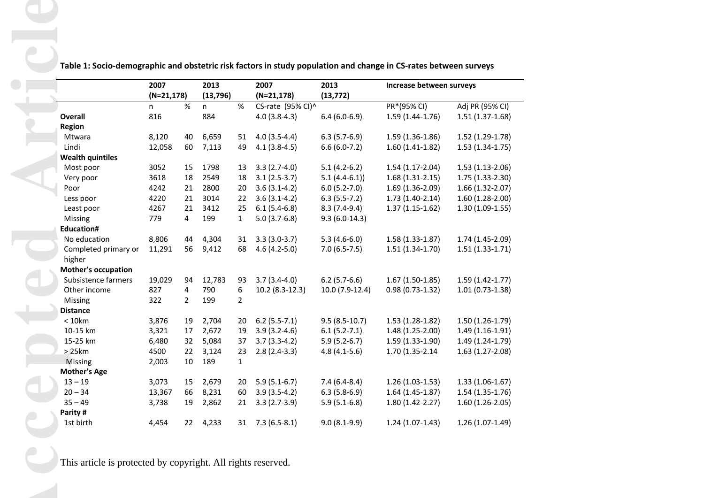**Table 1: Socio-demographic and obstetric risk factors in study population and change in CS-rates between surveys**

|                            | 2007          |                | 2013      |                | 2007              | 2013             | Increase between surveys |                   |
|----------------------------|---------------|----------------|-----------|----------------|-------------------|------------------|--------------------------|-------------------|
|                            | $(N=21, 178)$ |                | (13, 796) |                | $(N=21, 178)$     | (13, 772)        |                          |                   |
|                            | n             | %              | n         | $\%$           | CS-rate (95% CI)^ |                  | PR*(95% CI)              | Adj PR (95% CI)   |
| <b>Overall</b>             | 816           |                | 884       |                | $4.0(3.8-4.3)$    | $6.4(6.0-6.9)$   | $1.59(1.44-1.76)$        | $1.51(1.37-1.68)$ |
| Region                     |               |                |           |                |                   |                  |                          |                   |
| Mtwara                     | 8,120         | 40             | 6,659     | 51             | $4.0(3.5-4.4)$    | $6.3(5.7-6.9)$   | $1.59(1.36-1.86)$        | $1.52(1.29-1.78)$ |
| Lindi                      | 12,058        | 60             | 7,113     | 49             | $4.1(3.8-4.5)$    | $6.6(6.0-7.2)$   | $1.60(1.41-1.82)$        | $1.53(1.34-1.75)$ |
| <b>Wealth quintiles</b>    |               |                |           |                |                   |                  |                          |                   |
| Most poor                  | 3052          | 15             | 1798      | 13             | $3.3(2.7-4.0)$    | $5.1(4.2-6.2)$   | $1.54(1.17-2.04)$        | $1.53(1.13-2.06)$ |
| Very poor                  | 3618          | 18             | 2549      | 18             | $3.1(2.5-3.7)$    | $5.1(4.4-6.1)$   | $1.68(1.31-2.15)$        | $1.75(1.33-2.30)$ |
| Poor                       | 4242          | 21             | 2800      | 20             | $3.6(3.1-4.2)$    | $6.0(5.2-7.0)$   | 1.69 (1.36-2.09)         | $1.66(1.32-2.07)$ |
| Less poor                  | 4220          | 21             | 3014      | 22             | $3.6(3.1-4.2)$    | $6.3(5.5-7.2)$   | $1.73(1.40-2.14)$        | $1.60(1.28-2.00)$ |
| Least poor                 | 4267          | 21             | 3412      | 25             | $6.1(5.4-6.8)$    | $8.3(7.4-9.4)$   | $1.37(1.15-1.62)$        | $1.30(1.09-1.55)$ |
| Missing                    | 779           | 4              | 199       | $\mathbf{1}$   | $5.0(3.7-6.8)$    | $9.3(6.0-14.3)$  |                          |                   |
| <b>Education#</b>          |               |                |           |                |                   |                  |                          |                   |
| No education               | 8,806         | 44             | 4,304     | 31             | $3.3(3.0-3.7)$    | $5.3(4.6-6.0)$   | $1.58(1.33-1.87)$        | 1.74 (1.45-2.09)  |
| Completed primary or       | 11,291        | 56             | 9,412     | 68             | $4.6(4.2-5.0)$    | $7.0(6.5-7.5)$   | $1.51(1.34-1.70)$        | $1.51(1.33-1.71)$ |
| higher                     |               |                |           |                |                   |                  |                          |                   |
| <b>Mother's occupation</b> |               |                |           |                |                   |                  |                          |                   |
| Subsistence farmers        | 19,029        | 94             | 12,783    | 93             | $3.7(3.4-4.0)$    | $6.2$ (5.7-6.6)  | $1.67(1.50-1.85)$        | $1.59(1.42-1.77)$ |
| Other income               | 827           | 4              | 790       | 6              | 10.2 (8.3-12.3)   | 10.0 (7.9-12.4)  | $0.98(0.73-1.32)$        | $1.01(0.73-1.38)$ |
| Missing                    | 322           | $\overline{2}$ | 199       | $\overline{2}$ |                   |                  |                          |                   |
| <b>Distance</b>            |               |                |           |                |                   |                  |                          |                   |
| $< 10$ km                  | 3,876         | 19             | 2,704     | 20             | $6.2(5.5-7.1)$    | $9.5(8.5-10.7)$  | $1.53(1.28-1.82)$        | $1.50(1.26-1.79)$ |
| 10-15 km                   | 3,321         | 17             | 2,672     | 19             | $3.9(3.2-4.6)$    | $6.1(5.2-7.1)$   | 1.48 (1.25-2.00)         | $1.49(1.16-1.91)$ |
| 15-25 km                   | 6,480         | 32             | 5,084     | 37             | $3.7(3.3-4.2)$    | $5.9(5.2-6.7)$   | $1.59(1.33-1.90)$        | $1.49(1.24-1.79)$ |
| >25km                      | 4500          | 22             | 3,124     | 23             | $2.8(2.4-3.3)$    | $4.8(4.1-5.6)$   | 1.70 (1.35-2.14)         | $1.63(1.27-2.08)$ |
| Missing                    | 2,003         | 10             | 189       | $\mathbf{1}$   |                   |                  |                          |                   |
| <b>Mother's Age</b>        |               |                |           |                |                   |                  |                          |                   |
| $13 - 19$                  | 3,073         | 15             | 2,679     | 20             | $5.9(5.1-6.7)$    | $7.4(6.4 - 8.4)$ | $1.26(1.03-1.53)$        | $1.33(1.06-1.67)$ |
| $20 - 34$                  | 13,367        | 66             | 8,231     | 60             | $3.9(3.5-4.2)$    | $6.3(5.8-6.9)$   | $1.64(1.45-1.87)$        | $1.54(1.35-1.76)$ |
| $35 - 49$                  | 3,738         | 19             | 2,862     | 21             | $3.3(2.7-3.9)$    | $5.9(5.1-6.8)$   | 1.80 (1.42-2.27)         | $1.60(1.26-2.05)$ |
| Parity #                   |               |                |           |                |                   |                  |                          |                   |
| 1st birth                  | 4,454         | 22             | 4,233     | 31             | $7.3(6.5-8.1)$    | $9.0(8.1-9.9)$   | $1.24(1.07-1.43)$        | $1.26(1.07-1.49)$ |

This article is protected by copyright. All rights reserved.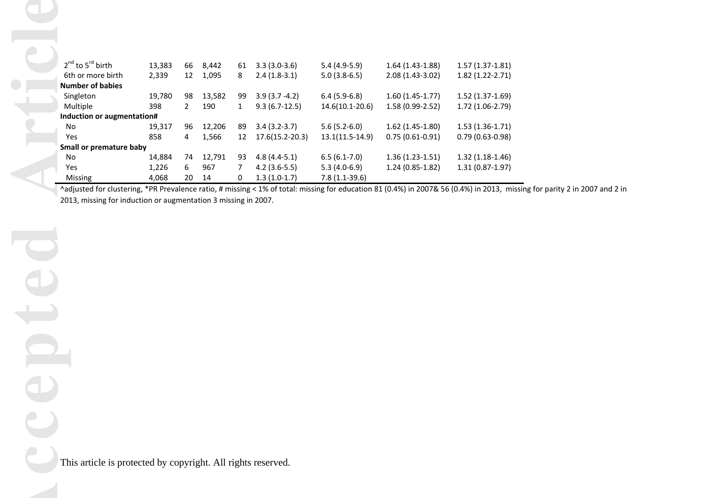| $2^{nd}$ to $5^{rd}$ birth | 13,383 | 66 | 8,442  | 61           | $3.3(3.0-3.6)$      | $5.4(4.9-5.9)$      | $1.64(1.43-1.88)$ | $1.57(1.37-1.81)$ |
|----------------------------|--------|----|--------|--------------|---------------------|---------------------|-------------------|-------------------|
| 6th or more birth          | 2,339  | 12 | 1,095  | 8            | $2.4(1.8-3.1)$      | $5.0(3.8-6.5)$      | $2.08(1.43-3.02)$ | 1.82 (1.22-2.71)  |
| <b>Number of babies</b>    |        |    |        |              |                     |                     |                   |                   |
| Singleton                  | 19,780 | 98 | 13,582 | 99           | $3.9(3.7 - 4.2)$    | $6.4(5.9-6.8)$      | $1.60(1.45-1.77)$ | $1.52(1.37-1.69)$ |
| Multiple                   | 398    | 2  | 190    | $\mathbf{1}$ | $9.3(6.7-12.5)$     | $14.6(10.1 - 20.6)$ | $1.58(0.99-2.52)$ | 1.72 (1.06-2.79)  |
| Induction or augmentation# |        |    |        |              |                     |                     |                   |                   |
| No.                        | 19,317 | 96 | 12,206 | 89           | $3.4(3.2-3.7)$      | $5.6(5.2-6.0)$      | $1.62(1.45-1.80)$ | $1.53(1.36-1.71)$ |
| <b>Yes</b>                 | 858    | 4  | 1,566  | 12           | $17.6(15.2 - 20.3)$ | $13.1(11.5-14.9)$   | $0.75(0.61-0.91)$ | $0.79(0.63-0.98)$ |
| Small or premature baby    |        |    |        |              |                     |                     |                   |                   |
| No.                        | 14,884 | 74 | 12,791 | 93           | $4.8(4.4-5.1)$      | $6.5(6.1-7.0)$      | $1.36(1.23-1.51)$ | $1.32(1.18-1.46)$ |
| Yes                        | 1,226  | 6  | 967    | 7            | $4.2(3.6-5.5)$      | $5.3(4.0-6.9)$      | $1.24(0.85-1.82)$ | $1.31(0.87-1.97)$ |
| Missing                    | 4,068  | 20 | 14     | 0            | $1.3(1.0-1.7)$      | $7.8(1.1-39.6)$     |                   |                   |

^adjusted for clustering, \*PR Prevalence ratio, # missing < 1% of total: missing for education 81 (0.4%) in 2007& 56 (0.4%) in 2013, missing for parity 2 in 2007 and 2 in 2013, missing for induction or augmentation 3 missing in 2007.

This article is protected by copyright. All rights reserved.

**Accepted Article** epte 

ticl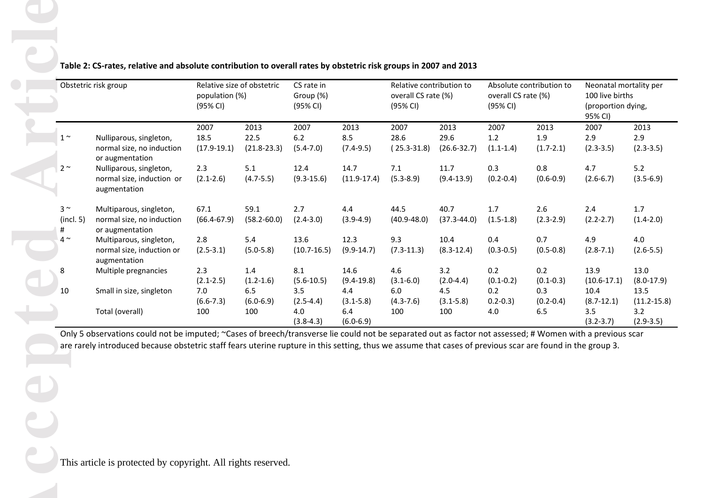|                              | Obstetric risk group                                                                                                                                                                                                                                                                                                                                               |                               | Relative size of obstetric<br>population (%)<br>(95% CI) |                              | CS rate in<br>Group (%)<br>(95% CI) |                                 | Relative contribution to<br>overall CS rate (%)<br>(95% CI) |                              | Absolute contribution to<br>overall CS rate (%)<br>(95% CI) |                              | Neonatal mortality per<br>100 live births<br>(proportion dying,<br>95% CI) |  |
|------------------------------|--------------------------------------------------------------------------------------------------------------------------------------------------------------------------------------------------------------------------------------------------------------------------------------------------------------------------------------------------------------------|-------------------------------|----------------------------------------------------------|------------------------------|-------------------------------------|---------------------------------|-------------------------------------------------------------|------------------------------|-------------------------------------------------------------|------------------------------|----------------------------------------------------------------------------|--|
| $1^{\sim}$                   | Nulliparous, singleton,<br>normal size, no induction<br>or augmentation                                                                                                                                                                                                                                                                                            | 2007<br>18.5<br>$(17.9-19.1)$ | 2013<br>22.5<br>$(21.8 - 23.3)$                          | 2007<br>6.2<br>$(5.4 - 7.0)$ | 2013<br>8.5<br>$(7.4-9.5)$          | 2007<br>28.6<br>$(25.3 - 31.8)$ | 2013<br>29.6<br>$(26.6 - 32.7)$                             | 2007<br>1.2<br>$(1.1 - 1.4)$ | 2013<br>1.9<br>$(1.7 - 2.1)$                                | 2007<br>2.9<br>$(2.3 - 3.5)$ | 2013<br>2.9<br>$(2.3 - 3.5)$                                               |  |
| $2^{\sim}$                   | Nulliparous, singleton,<br>normal size, induction or<br>augmentation                                                                                                                                                                                                                                                                                               | 2.3<br>$(2.1 - 2.6)$          | 5.1<br>$(4.7 - 5.5)$                                     | 12.4<br>$(9.3 - 15.6)$       | 14.7<br>$(11.9-17.4)$               | 7.1<br>$(5.3 - 8.9)$            | 11.7<br>$(9.4-13.9)$                                        | 0.3<br>$(0.2 - 0.4)$         | $0.8\,$<br>$(0.6 - 0.9)$                                    | 4.7<br>$(2.6 - 6.7)$         | 5.2<br>$(3.5 - 6.9)$                                                       |  |
| $3^{\sim}$<br>(incl. 5)<br># | Multiparous, singleton,<br>normal size, no induction<br>or augmentation                                                                                                                                                                                                                                                                                            | 67.1<br>$(66.4 - 67.9)$       | 59.1<br>$(58.2 - 60.0)$                                  | 2.7<br>$(2.4 - 3.0)$         | 4.4<br>$(3.9-4.9)$                  | 44.5<br>$(40.9 - 48.0)$         | 40.7<br>$(37.3 - 44.0)$                                     | 1.7<br>$(1.5-1.8)$           | 2.6<br>$(2.3 - 2.9)$                                        | 2.4<br>$(2.2 - 2.7)$         | 1.7<br>$(1.4 - 2.0)$                                                       |  |
| $4^{\sim}$                   | Multiparous, singleton,<br>normal size, induction or                                                                                                                                                                                                                                                                                                               | 2.8<br>$(2.5 - 3.1)$          | 5.4<br>$(5.0 - 5.8)$                                     | 13.6<br>$(10.7 - 16.5)$      | 12.3<br>$(9.9-14.7)$                | 9.3<br>$(7.3-11.3)$             | 10.4<br>$(8.3 - 12.4)$                                      | 0.4<br>$(0.3 - 0.5)$         | 0.7<br>$(0.5 - 0.8)$                                        | 4.9<br>$(2.8 - 7.1)$         | 4.0<br>$(2.6 - 5.5)$                                                       |  |
|                              | Multiple pregnancies                                                                                                                                                                                                                                                                                                                                               | 2.3<br>$(2.1 - 2.5)$          | 1.4<br>$(1.2 - 1.6)$                                     | 8.1<br>$(5.6-10.5)$          | 14.6<br>$(9.4-19.8)$                | 4.6<br>$(3.1 - 6.0)$            | 3.2<br>$(2.0-4.4)$                                          | 0.2<br>$(0.1 - 0.2)$         | 0.2<br>$(0.1 - 0.3)$                                        | 13.9<br>$(10.6 - 17.1)$      | 13.0<br>$(8.0-17.9)$                                                       |  |
|                              | Total (overall)                                                                                                                                                                                                                                                                                                                                                    | $(6.6 - 7.3)$<br>100          | $(6.0 - 6.9)$<br>100                                     | $(2.5 - 4.4)$<br>4.0         | $(3.1 - 5.8)$<br>6.4                | $(4.3 - 7.6)$<br>100            | $(3.1 - 5.8)$<br>100                                        | $0.2 - 0.3$<br>4.0           | $(0.2 - 0.4)$<br>6.5                                        | $(8.7 - 12.1)$<br>3.5        | 13.5<br>$(11.2 - 15.8)$<br>3.2<br>$(2.9 - 3.5)$                            |  |
| 10                           | augmentation<br>Small in size, singleton<br>Only 5 observations could not be imputed; ~Cases of breech/transverse lie could not be separated out as factor not assessed; # Women with a previous scar<br>are rarely introduced because obstetric staff fears uterine rupture in this setting, thus we assume that cases of previous scar are found in the group 3. | 7.0                           | 6.5                                                      | 3.5<br>$(3.8-4.3)$           | 4.4<br>$(6.0 - 6.9)$                | 6.0                             | 4.5                                                         | 0.2                          | 0.3                                                         | 10.4<br>$(3.2 - 3.7)$        |                                                                            |  |